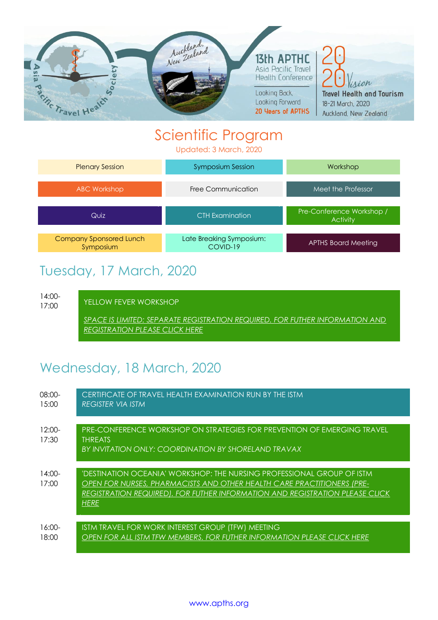

# Scientific Program

Updated: 3 March, 2020

| <b>Plenary Session</b> | Symposium Session  | Workshop                              |  |
|------------------------|--------------------|---------------------------------------|--|
| <b>ABC Workshop</b>    | Free Communication | Meet the Professor                    |  |
|                        |                    | Pre-Conference Workshop /<br>Activity |  |
| Quiz                   | CTH Examination    |                                       |  |

# Tuesday, 17 March, 2020

14:00-

17:00 YELLOW FEVER WORKSHOP

**SPACE IS LIMITED: SEPARATE REGISTRATION REQUIRED. FOR FUTHER INFORMATION AND** *[REGISTRATION PLEASE CLICK HERE](https://www.apths.org/pre-conference)*

# Wednesday, 18 March, 2020

| $08:00-$          | CERTIFICATE OF TRAVEL HEALTH EXAMINATION RUN BY THE ISTM                                                                                                                                                                                               |
|-------------------|--------------------------------------------------------------------------------------------------------------------------------------------------------------------------------------------------------------------------------------------------------|
| 15:00             | <b>REGISTER VIA ISTM</b>                                                                                                                                                                                                                               |
| $12:00-$<br>17:30 | PRE-CONFERENCE WORKSHOP ON STRATEGIES FOR PREVENTION OF EMERGING TRAVEL<br><b>THREATS</b><br>BY INVITATION ONLY: COORDINATION BY SHORELAND TRAVAX                                                                                                      |
| $14:00-$<br>17:00 | 'DESTINATION OCEANIA' WORKSHOP: THE NURSING PROFESSIONAL GROUP OF ISTM<br>OPEN FOR NURSES, PHARMACISTS AND OTHER HEALTH CARE PRACTITIONERS (PRE-<br><b>REGISTRATION REQUIRED). FOR FUTHER INFORMATION AND REGISTRATION PLEASE CLICK</b><br><b>HERE</b> |
| $16:00-$          | ISTM TRAVEL FOR WORK INTEREST GROUP (TFW) MEETING                                                                                                                                                                                                      |
| 18:00             | OPEN FOR ALL ISTM TFW MEMBERS. FOR FUTHER INFORMATION PLEASE CLICK HERE                                                                                                                                                                                |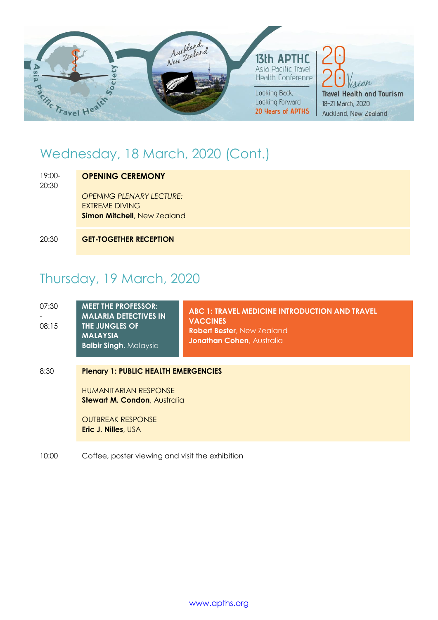

# Wednesday, 18 March, 2020 (Cont.)

| 19:00-<br>20:30 | <b>OPENING CEREMONY</b>                                                                        |
|-----------------|------------------------------------------------------------------------------------------------|
|                 | <b>OPENING PLENARY LECTURE:</b><br><b>EXTREME DIVING</b><br><b>Simon Mitchell, New Zealand</b> |
| 20:30           | <b>GET-TOGETHER RECEPTION</b>                                                                  |

# Thursday, 19 March, 2020

| 07:30<br>08:15 | <b>MEET THE PROFESSOR:</b><br><b>MALARIA DETECTIVES IN</b><br>THE JUNGLES OF<br><b>MALAYSIA</b><br><b>Balbir Singh, Malaysia</b> | <b>ABC 1: TRAVEL MEDICINE INTRODUCTION AND TRAVEL</b><br><b>VACCINES</b><br><b>Robert Bester</b> , New Zealand<br><b>Jonathan Cohen, Australia</b> |  |
|----------------|----------------------------------------------------------------------------------------------------------------------------------|----------------------------------------------------------------------------------------------------------------------------------------------------|--|
| 8:30           | <b>Plenary 1: PUBLIC HEALTH EMERGENCIES</b>                                                                                      |                                                                                                                                                    |  |
|                | <b>HUMANITARIAN RESPONSE</b><br><b>Stewart M. Condon, Australia</b>                                                              |                                                                                                                                                    |  |
|                | <b>OUTBREAK RESPONSE</b><br><b>Eric J. Nilles, USA</b>                                                                           |                                                                                                                                                    |  |

10:00 Coffee, poster viewing and visit the exhibition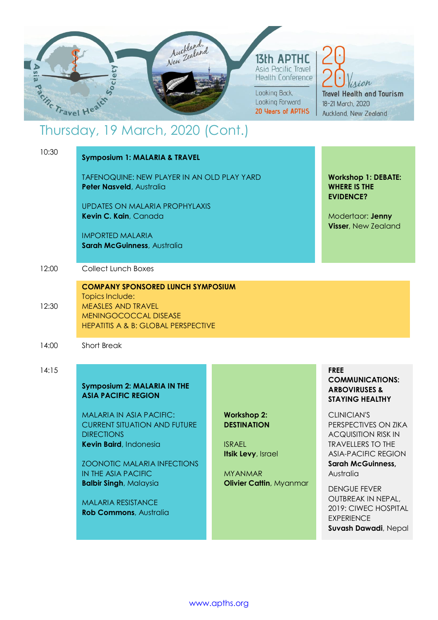

| 10:30 | <b>Symposium 1: MALARIA &amp; TRAVEL</b>                                                                                                                                                                                                                                   |                                                                                                                                     |                                                                                                                                                                                                                                                                                               |
|-------|----------------------------------------------------------------------------------------------------------------------------------------------------------------------------------------------------------------------------------------------------------------------------|-------------------------------------------------------------------------------------------------------------------------------------|-----------------------------------------------------------------------------------------------------------------------------------------------------------------------------------------------------------------------------------------------------------------------------------------------|
|       | TAFENOQUINE: NEW PLAYER IN AN OLD PLAY YARD<br>Peter Nasveld, Australia                                                                                                                                                                                                    |                                                                                                                                     | <b>Workshop 1: DEBATE:</b><br><b>WHERE IS THE</b><br><b>EVIDENCE?</b>                                                                                                                                                                                                                         |
|       | <b>UPDATES ON MALARIA PROPHYLAXIS</b><br>Kevin C. Kain, Canada                                                                                                                                                                                                             |                                                                                                                                     | Modertaor: Jenny<br><b>Visser</b> , New Zealand                                                                                                                                                                                                                                               |
|       | <b>IMPORTED MALARIA</b><br>Sarah McGuinness, Australia                                                                                                                                                                                                                     |                                                                                                                                     |                                                                                                                                                                                                                                                                                               |
| 12:00 | <b>Collect Lunch Boxes</b>                                                                                                                                                                                                                                                 |                                                                                                                                     |                                                                                                                                                                                                                                                                                               |
| 12:30 | <b>COMPANY SPONSORED LUNCH SYMPOSIUM</b><br>Topics Include:<br><b>MEASLES AND TRAVEL</b><br>MENINGOCOCCAL DISEASE<br><b>HEPATITIS A &amp; B: GLOBAL PERSPECTIVE</b>                                                                                                        |                                                                                                                                     |                                                                                                                                                                                                                                                                                               |
| 14:00 | <b>Short Break</b>                                                                                                                                                                                                                                                         |                                                                                                                                     |                                                                                                                                                                                                                                                                                               |
| 14:15 | <b>Symposium 2: MALARIA IN THE</b><br><b>ASIA PACIFIC REGION</b>                                                                                                                                                                                                           |                                                                                                                                     | <b>FREE</b><br><b>COMMUNICATIONS:</b><br><b>ARBOVIRUSES &amp;</b><br><b>STAYING HEALTHY</b>                                                                                                                                                                                                   |
|       | <b>MALARIA IN ASIA PACIFIC:</b><br><b>CURRENT SITUATION AND FUTURE</b><br><b>DIRECTIONS</b><br>Kevin Baird, Indonesia<br><b>ZOONOTIC MALARIA INFECTIONS</b><br>IN THE ASIA PACIFIC<br><b>Balbir Singh, Malaysia</b><br>MALARIA RESISTANCE<br><b>Rob Commons, Australia</b> | <b>Workshop 2:</b><br><b>DESTINATION</b><br><b>ISRAEL</b><br>Itsik Levy, Israel<br><b>MYANMAR</b><br><b>Olivier Cattin, Myanmar</b> | <b>CLINICIAN'S</b><br>PERSPECTIVES ON ZIKA<br><b>ACQUISITION RISK IN</b><br><b>TRAVELLERS TO THE</b><br><b>ASIA-PACIFIC REGION</b><br><b>Sarah McGuinness,</b><br>Australia<br><b>DENGUE FEVER</b><br>OUTBREAK IN NEPAL,<br>2019: CIWEC HOSPITAL<br><b>EXPERIENCE</b><br>Suvash Dawadi, Nepal |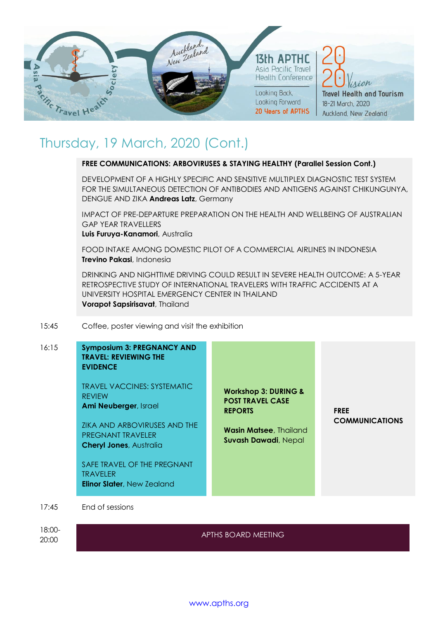

# Thursday, 19 March, 2020 (Cont.)

### **FREE COMMUNICATIONS: ARBOVIRUSES & STAYING HEALTHY (Parallel Session Cont.)**

DEVELOPMENT OF A HIGHLY SPECIFIC AND SENSITIVE MULTIPLEX DIAGNOSTIC TEST SYSTEM FOR THE SIMULTANEOUS DETECTION OF ANTIBODIES AND ANTIGENS AGAINST CHIKUNGUNYA, DENGUE AND ZIKA **Andreas Latz**, Germany

IMPACT OF PRE-DEPARTURE PREPARATION ON THE HEALTH AND WELLBEING OF AUSTRALIAN GAP YEAR TRAVELLERS

**Luis Furuya-Kanamori**, Australia

FOOD INTAKE AMONG DOMESTIC PILOT OF A COMMERCIAL AIRLINES IN INDONESIA **Trevino Pakasi**, Indonesia

DRINKING AND NIGHTTIME DRIVING COULD RESULT IN SEVERE HEALTH OUTCOME: A 5-YEAR RETROSPECTIVE STUDY OF INTERNATIONAL TRAVELERS WITH TRAFFIC ACCIDENTS AT A UNIVERSITY HOSPITAL EMERGENCY CENTER IN THAILAND **Vorapot Sapsirisavat**, Thailand

15:45 Coffee, poster viewing and visit the exhibition

### 16:15 **Symposium 3: PREGNANCY AND TRAVEL: REVIEWING THE EVIDENCE** TRAVEL VACCINES: SYSTEMATIC REVIEW **Ami Neuberger**, Israel ZIKA AND ARBOVIRUSES AND THE PREGNANT TRAVELER **Cheryl Jones**, Australia SAFE TRAVEL OF THE PREGNANT TRAVELER **Elinor Slater**, New Zealand **Workshop 3: DURING & POST TRAVEL CASE REPORTS Wasin Matsee**, Thailand **Suvash Dawadi**, Nepal **FREE COMMUNICATIONS**

17:45 End of sessions

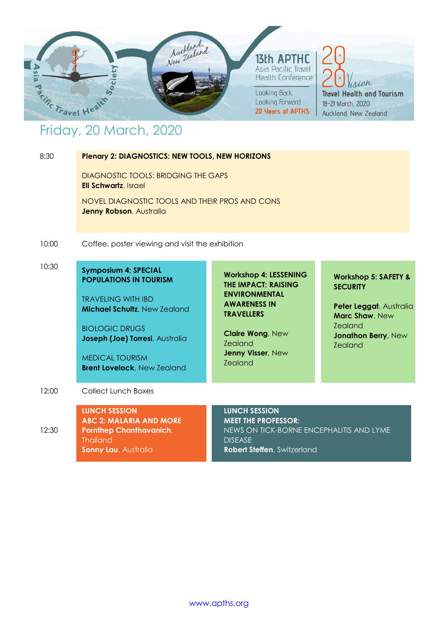

| 8:30  | <b>Plenary 2: DIAGNOSTICS: NEW TOOLS, NEW HORIZONS</b>                                                                                                                                                                                                |                                                                                                                                                                                                                    |                                                                                                                                                            |
|-------|-------------------------------------------------------------------------------------------------------------------------------------------------------------------------------------------------------------------------------------------------------|--------------------------------------------------------------------------------------------------------------------------------------------------------------------------------------------------------------------|------------------------------------------------------------------------------------------------------------------------------------------------------------|
|       | <b>DIAGNOSTIC TOOLS: BRIDGING THE GAPS</b><br><b>Eli Schwartz, Israel</b>                                                                                                                                                                             |                                                                                                                                                                                                                    |                                                                                                                                                            |
|       | NOVEL DIAGNOSTIC TOOLS AND THEIR PROS AND CONS<br><b>Jenny Robson</b> , Australia                                                                                                                                                                     |                                                                                                                                                                                                                    |                                                                                                                                                            |
| 10:00 | Coffee, poster viewing and visit the exhibition                                                                                                                                                                                                       |                                                                                                                                                                                                                    |                                                                                                                                                            |
| 10:30 | <b>Symposium 4: SPECIAL</b><br><b>POPULATIONS IN TOURISM</b><br><b>TRAVELING WITH IBD</b><br>Michael Schultz, New Zealand<br><b>BIOLOGIC DRUGS</b><br>Joseph (Joe) Torresi, Australia<br><b>MEDICAL TOURISM</b><br><b>Brent Lovelock, New Zealand</b> | <b>Workshop 4: LESSENING</b><br><b>THE IMPACT: RAISING</b><br><b>ENVIRONMENTAL</b><br><b>AWARENESS IN</b><br><b>TRAVELLERS</b><br><b>Claire Wong, New</b><br><b>Zealand</b><br>Jenny Visser, New<br><b>Zealand</b> | <b>Workshop 5: SAFETY &amp;</b><br><b>SECURITY</b><br>Peter Leggat, Australia<br>Marc Shaw, New<br><b>Zealand</b><br>Jonathon Berry, New<br><b>Zealand</b> |
| 12:00 | <b>Collect Lunch Boxes</b>                                                                                                                                                                                                                            |                                                                                                                                                                                                                    |                                                                                                                                                            |
| 12:30 | <b>LUNCH SESSION</b><br><b>ABC 2: MALARIA AND MORE</b><br><b>Pornthep Chanthavanich,</b><br><b>Thailand</b><br>Sonny Lau, Australia                                                                                                                   | <b>LUNCH SESSION</b><br><b>MEET THE PROFESSOR:</b><br>NEWS ON TICK-BORNE ENCEPHALITIS AND LYME<br><b>DISEASE</b><br>Robert Steffen, Switzerland                                                                    |                                                                                                                                                            |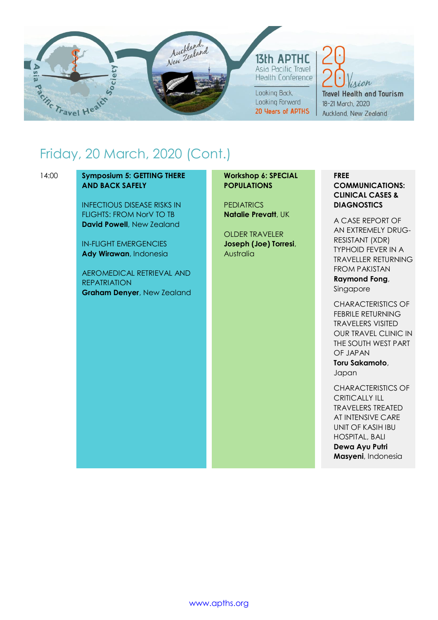

# Friday, 20 March, 2020 (Cont.)

### 14:00 **Symposium 5: GETTING THERE AND BACK SAFELY**

INFECTIOUS DISEASE RISKS IN FLIGHTS: FROM NorV TO TB **David Powell**, New Zealand

IN-FLIGHT EMERGENCIES **Ady Wirawan**, Indonesia

AEROMEDICAL RETRIEVAL AND REPATRIATION **Graham Denyer**, New Zealand **Workshop 6: SPECIAL POPULATIONS**

PEDIATRICS **Natalie Prevatt**, UK

OLDER TRAVELER **Joseph (Joe) Torresi**, Australia

### **FREE COMMUNICATIONS: CLINICAL CASES & DIAGNOSTICS**

A CASE REPORT OF AN EXTREMELY DRUG-RESISTANT (XDR) TYPHOID FEVER IN A TRAVELLER RETURNING FROM PAKISTAN

**Raymond Fong**, Singapore

CHARACTERISTICS OF FEBRILE RETURNING TRAVELERS VISITED OUR TRAVEL CLINIC IN THE SOUTH WEST PART OF JAPAN **Toru Sakamoto**, Japan

CHARACTERISTICS OF CRITICALLY ILL TRAVELERS TREATED AT INTENSIVE CARE UNIT OF KASIH IBU HOSPITAL, BALI **Dewa Ayu Putri Masyeni**, Indonesia

[www.apths.org](http://www.apths.org/)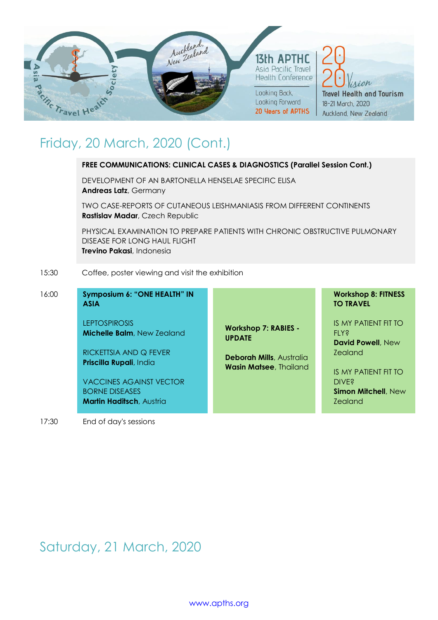

# Friday, 20 March, 2020 (Cont.)

### **FREE COMMUNICATIONS: CLINICAL CASES & DIAGNOSTICS (Parallel Session Cont.)**

DEVELOPMENT OF AN BARTONELLA HENSELAE SPECIFIC ELISA **Andreas Latz**, Germany

TWO CASE-REPORTS OF CUTANEOUS LEISHMANIASIS FROM DIFFERENT CONTINENTS **Rastislav Madar**, Czech Republic

PHYSICAL EXAMINATION TO PREPARE PATIENTS WITH CHRONIC OBSTRUCTIVE PULMONARY DISEASE FOR LONG HAUL FLIGHT **Trevino Pakasi**, Indonesia

15:30 Coffee, poster viewing and visit the exhibition

| 16:00 | Symposium 6: "ONE HEALTH" IN<br><b>ASIA</b>             |                                                                  | <b>Workshop 8: FITNESS</b><br><b>TO TRAVEL</b>           |
|-------|---------------------------------------------------------|------------------------------------------------------------------|----------------------------------------------------------|
|       | <b>LEPTOSPIROSIS</b><br>Michelle Balm, New Zealand      | <b>Workshop 7: RABIES -</b><br><b>UPDATE</b>                     | IS MY PATIENT FIT TO<br><b>FLY?</b><br>David Powell, New |
|       | RICKETTSIA AND Q FEVER<br>Priscilla Rupali, India       | <b>Deborah Mills, Australia</b><br><b>Wasin Matsee, Thailand</b> | <b>Zealand</b><br>IS MY PATIENT FIT TO                   |
|       | <b>VACCINES AGAINST VECTOR</b><br><b>BORNE DISEASES</b> |                                                                  | <b>DIVE?</b><br><b>Simon Mitchell, New</b>               |

**Zealand** 

17:30 End of day's sessions

**Martin Haditsch**, Austria

Saturday, 21 March, 2020

[www.apths.org](http://www.apths.org/)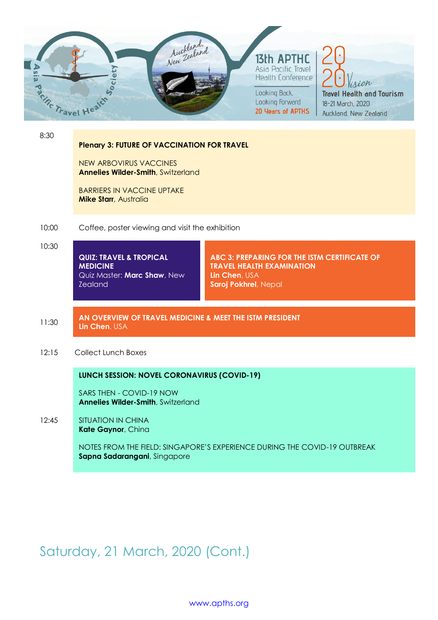

8:30

### **Plenary 3: FUTURE OF VACCINATION FOR TRAVEL**

NEW ARBOVIRUS VACCINES **Annelies Wilder-Smith**, Switzerland

BARRIERS IN VACCINE UPTAKE **Mike Starr**, Australia

10:00 Coffee, poster viewing and visit the exhibition

10:30

**QUIZ: TRAVEL & TROPICAL MEDICINE** Quiz Master: **Marc Shaw**, New **Zealand** 

**ABC 3: PREPARING FOR THE ISTM CERTIFICATE OF TRAVEL HEALTH EXAMINATION Lin Chen**, USA **Saroj Pokhrel**, Nepal

### **AN OVERVIEW OF TRAVEL MEDICINE & MEET THE ISTM PRESIDENT Lin Chen**, USA

### 12:15 Collect Lunch Boxes

**LUNCH SESSION: NOVEL CORONAVIRUS (COVID-19)**

SARS THEN - COVID-19 NOW **Annelies Wilder-Smith**, Switzerland

### $12.45$ SITUATION IN CHINA **Kate Gaynor**, China

NOTES FROM THE FIELD: SINGAPORE'S EXPERIENCE DURING THE COVID-19 OUTBREAK **Sapna Sadarangani**, Singapore

# Saturday, 21 March, 2020 (Cont.)